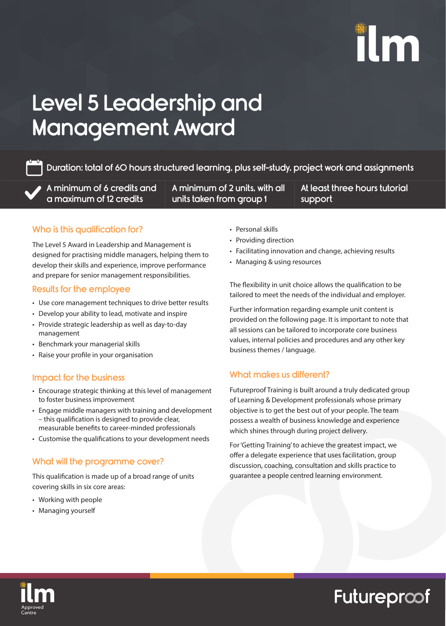# ilm

## Level 5 Leadership and Management Award

Duration: total of 60 hours structured learning, plus self-study, project work and assignments

A minimum of 6 credits and a maximum of 12 credits

A minimum of 2 units, with all units taken from group 1

Want to tailor this programme and run it in-house, speak to one of our Programme  $\sim$ be happy to discuss your requirements in more detail. info@futureproof-training.co.uk | 01623 409 824

At least three hours tutorial support

### Who is this qualification for?

The Level 5 Award in Leadership and Management is designed for practising middle managers, helping them to develop their skills and experience, improve performance and prepare for senior management responsibilities.

#### Results for the employee

- Use core management techniques to drive better results
- Develop your ability to lead, motivate and inspire
- Provide strategic leadership as well as day-to-day management
- Benchmark your managerial skills
- Raise your profile in your organisation

#### Impact for the business

- Encourage strategic thinking at this level of management to foster business improvement
- Engage middle managers with training and development – this qualification is designed to provide clear, measurable benefits to career-minded professionals
- Customise the qualifications to your development needs

#### What will the programme cover?

This qualification is made up of a broad range of units covering skills in six core areas:

- Working with people
- Managing yourself
- Personal skills
- Providing direction
- Facilitating innovation and change, achieving results
- Managing & using resources

The flexibility in unit choice allows the qualification to be tailored to meet the needs of the individual and employer.

Further information regarding example unit content is provided on the following page. It is important to note that all sessions can be tailored to incorporate core business values, internal policies and procedures and any other key business themes / language.

### What makes us different?

Futureproof Training is built around a truly dedicated group of Learning & Development professionals whose primary objective is to get the best out of your people. The team possess a wealth of business knowledge and experience which shines through during project delivery.

For 'Getting Training' to achieve the greatest impact, we offer a delegate experience that uses facilitation, group discussion, coaching, consultation and skills practice to guarantee a people centred learning environment.